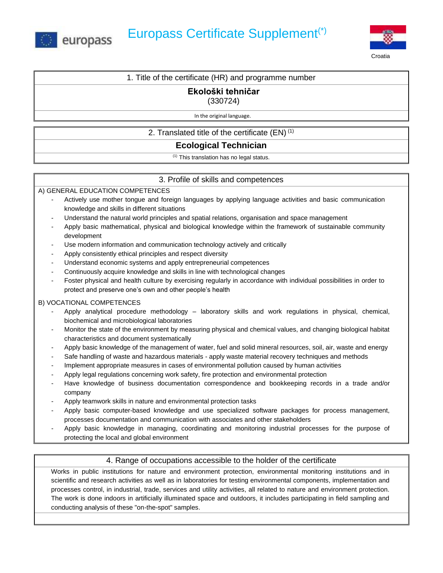



### 1. Title of the certificate (HR) and programme number

# **Ekološki tehničar**

(330724)

In the original language.

## 2. Translated title of the certificate (EN) (1)

# **Ecological Technician**

(1) This translation has no legal status.

## 3. Profile of skills and competences

### A) GENERAL EDUCATION COMPETENCES

- Actively use mother tongue and foreign languages by applying language activities and basic communication knowledge and skills in different situations
- Understand the natural world principles and spatial relations, organisation and space management
- Apply basic mathematical, physical and biological knowledge within the framework of sustainable community development
- Use modern information and communication technology actively and critically
- Apply consistently ethical principles and respect diversity
- Understand economic systems and apply entrepreneurial competences
- Continuously acquire knowledge and skills in line with technological changes
- Foster physical and health culture by exercising regularly in accordance with individual possibilities in order to protect and preserve one's own and other people's health

### B) VOCATIONAL COMPETENCES

- Apply analytical procedure methodology laboratory skills and work regulations in physical, chemical, biochemical and microbiological laboratories
- Monitor the state of the environment by measuring physical and chemical values, and changing biological habitat characteristics and document systematically
- Apply basic knowledge of the management of water, fuel and solid mineral resources, soil, air, waste and energy
- Safe handling of waste and hazardous materials apply waste material recovery techniques and methods
- Implement appropriate measures in cases of environmental pollution caused by human activities
- Apply legal regulations concerning work safety, fire protection and environmental protection
- Have knowledge of business documentation correspondence and bookkeeping records in a trade and/or company
- Apply teamwork skills in nature and environmental protection tasks
- Apply basic computer-based knowledge and use specialized software packages for process management, processes documentation and communication with associates and other stakeholders
- Apply basic knowledge in managing, coordinating and monitoring industrial processes for the purpose of protecting the local and global environment

## 4. Range of occupations accessible to the holder of the certificate

Works in public institutions for nature and environment protection, environmental monitoring institutions and in scientific and research activities as well as in laboratories for testing environmental components, implementation and processes control, in industrial, trade, services and utility activities, all related to nature and environment protection. The work is done indoors in artificially illuminated space and outdoors, it includes participating in field sampling and conducting analysis of these "on-the-spot" samples.